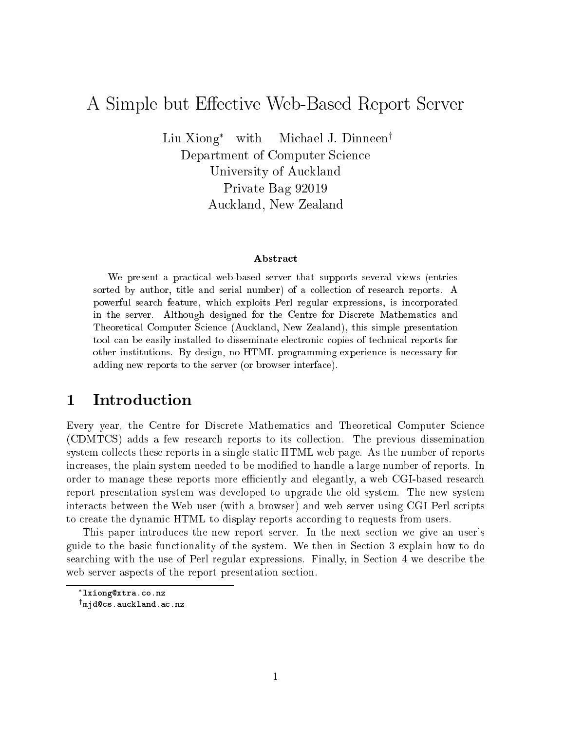# A Simple but Effective Web-Based Report Server

Liu Xiong<sup>\*</sup> with Michael J. Dinneen<sup>†</sup> Department of Computer Science University of Auckland Private Bag 92019 Auckland, New Zealand

### Abstract

We present a practical web-based server that supports several views (entries sorted by author, title and serial number) of a collection of research reports. A powerful search feature, which exploits Perl regular expressions, is incorporated in the server. Although designed for the Centre for Discrete Mathematics and Theoretical Computer Science (Auckland, New Zealand), this simple presentation tool can be easily installed to disseminate electronic copies of technical reports for other institutions. By design, no HTML programming experience is necessary for adding new reports to the server (or browser interface).

#### **Introduction**  $\mathbf 1$

Every year, the Centre for Discrete Mathematics and Theoretical Computer Science (CDMTCS) adds a few research reports to its collection. The previous dissemination system collects these reports in a single static HTML web page. As the number of reports increases, the plain system needed to be modified to handle a large number of reports. In order to manage these reports more efficiently and elegantly, a web CGI-based research report presentation system was developed to upgrade the old system. The new system interacts between the Web user (with a browser) and web server using CGI Perl scripts to create the dynamic HTML to display reports according to requests from users.

This paper introduces the new report server. In the next section we give an user's guide to the basic functionality of the system. We then in Section 3 explain how to do searching with the use of Perl regular expressions. Finally, in Section 4 we describe the web server aspects of the report presentation section.

lxiong@xtra.co.nz

<sup>y</sup> mjd@cs.auckland.ac.nz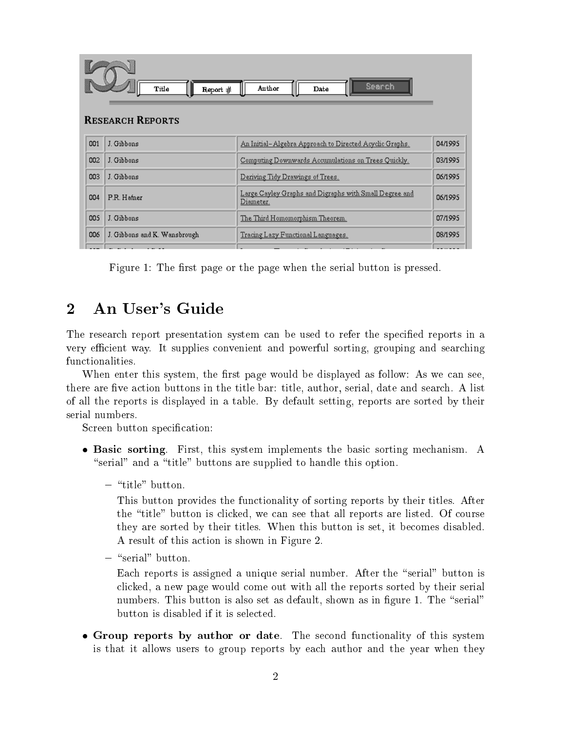|     | Title<br>Report #            | Search<br>Author<br>Date                                            |         |
|-----|------------------------------|---------------------------------------------------------------------|---------|
|     | <b>RESEARCH REPORTS</b>      |                                                                     |         |
| 001 | J. Gibbons                   | An Initial-Algebra Approach to Directed Acyclic Graphs.             | 04/1995 |
| 002 | J. Gibbons                   | Computing Downwards Accumulations on Trees Quickly.                 | 03/1995 |
| 003 | J. Gibbons                   | Deriving Tidy Drawings of Trees.                                    | 06/1995 |
| 004 | P.R. Hafner                  | Large Cayley Graphs and Digraphs with Small Degree and<br>Diameter. | 06/1995 |
| 005 | J. Gibbons                   | The Third Homomorphism Theorem.                                     | 07/1995 |
| 006 | J. Gibbons and K. Wansbrough | Tracing Lazy Functional Languages.                                  | 08/1995 |
|     |                              | .                                                                   |         |

Figure 1: The first page or the page when the serial button is pressed.

## 2 An User's Guide

The research report presentation system can be used to refer the specified reports in a very efficient way. It supplies convenient and powerful sorting, grouping and searching functionalities.

When enter this system, the first page would be displayed as follow: As we can see. there are five action buttons in the title bar: title, author, serial, date and search. A list of all the reports is displayed in a table. By default setting, reports are sorted by their serial numbers.

Screen button specification:

- Basic sorting. First, this system implements the basic sorting mechanism. A "serial" and a "title" buttons are supplied to handle this option.
	- *button.* but the same  $\theta$

This button provides the functionality of sorting reports by their titles. After the \title" button is clicked, we can see that all reports are listed. Of course they are sorted by their titles. When this button is set, it becomes disabled. A result of this action is shown in Figure 2.

Each reports is assigned a unique serial number. After the "serial" button is clicked, a new page would come out with all the reports sorted by their serial numbers. This button is also set as default, shown as in figure 1. The "serial" button is disabled if it is selected.

 Group reports by author or date. The second functionality of this system is that it allows users to group reports by each author and the year when they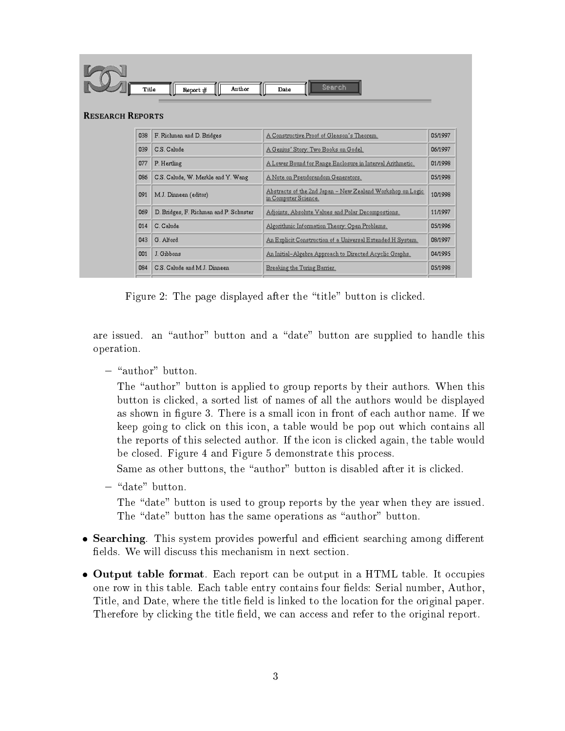| <b>RESEARCH REPORTS</b> | Title | Anthor<br>Report #                     | Search<br>Date                                                                             |          |
|-------------------------|-------|----------------------------------------|--------------------------------------------------------------------------------------------|----------|
|                         | 038   | F. Richman and D. Bridges              | A Constructive Proof of Gleason's Theorem.                                                 | 0.5/1997 |
|                         | 039   | C.S. Calude                            | A Genius' Story: Two Books on Godel.                                                       | 06/1997  |
|                         | 077   | P. Hertling                            | A Lower Bound for Range Enclosure in Interval Arithmetic.                                  | 01/1998  |
|                         | 086   | C.S. Calude, W. Merkle and Y. Wang     | A Note on Pseudorandom Generators.                                                         | 05/1998  |
|                         | 091   | M.J. Dinneen (editor)                  | <u> Abstracts of the 2nd Japan – New Zealand Workshop on Logic</u><br>in Computer Science. | 10/1998  |
|                         | 069   | D. Bridges, F. Richman and P. Schuster | Adjoints, Absolute Values and Polar Decompostions.                                         | 11/1997  |
|                         | 014   | C. Calude                              | Algorithmic Information Theory: Open Problems.                                             | 05/1996  |
|                         | 043   | G Alford                               | An Explicit Construction of a Universal Extended H System.                                 | 08/1997  |
|                         | 001   | J. Gibbons                             | An Initial-Algebra Approach to Directed Acyclic Graphs.                                    | 04/1995  |
|                         | 084   | C.S. Calude and M.J. Dinneen           | Breaking the Turing Barrier.                                                               | 05/1998  |

Figure 2: The page displayed after the "title" button is clicked.

are issued. an "author" button and a "date" button are supplied to handle this operation.

The "author" button is applied to group reports by their authors. When this button is clicked, a sorted list of names of all the authors would be displayed as shown in figure 3. There is a small icon in front of each author name. If we keep going to click on this icon, a table would be pop out which contains all the reports of this selected author. If the icon is clicked again, the table would be closed. Figure 4 and Figure 5 demonstrate this process.

Same as other buttons, the "author" button is disabled after it is clicked.

{ \date" button.

The "date" button is used to group reports by the year when they are issued. The "date" button has the same operations as "author" button.

- Searching. This system provides powerful and ecient searching among dierent fields. We will discuss this mechanism in next section.
- Output table format. Each report can be output in a HTML table. It occupies one row in this table. Each table entry contains four fields: Serial number, Author, Title, and Date, where the title field is linked to the location for the original paper. Therefore by clicking the title field, we can access and refer to the original report.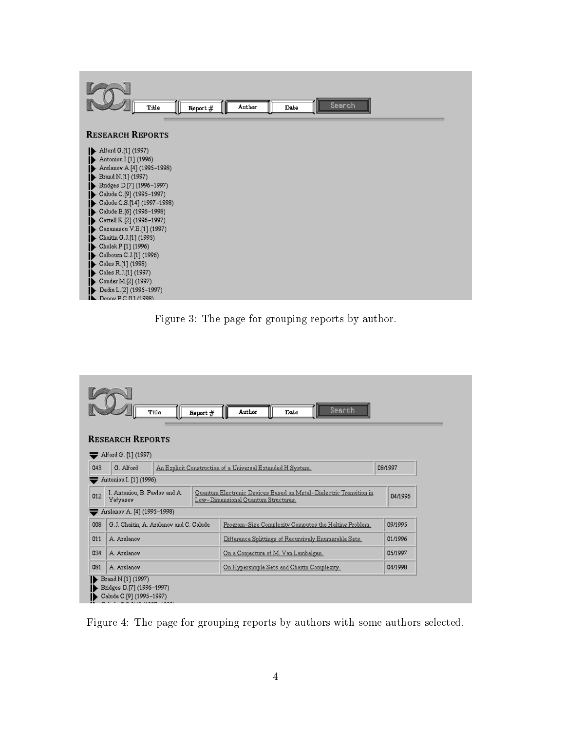| Title                                                                                                                                                                                                                                                                                                                                                                                                                                                                                                                                                                                             | Report $#$ | Author | Search<br>Date |  |
|---------------------------------------------------------------------------------------------------------------------------------------------------------------------------------------------------------------------------------------------------------------------------------------------------------------------------------------------------------------------------------------------------------------------------------------------------------------------------------------------------------------------------------------------------------------------------------------------------|------------|--------|----------------|--|
| <b>RESEARCH REPORTS</b>                                                                                                                                                                                                                                                                                                                                                                                                                                                                                                                                                                           |            |        |                |  |
| Alford G.[1] (1997)<br>$\blacktriangleright$ Antoniou I.[1] (1996)<br>Arslanov A.[4] (1995-1998)<br>$\triangleright$ Brand N.[1] (1997)<br>Bridges D.[7] (1996-1997)<br>Calude C.[9] (1995-1997)<br>Calude C.S.[14] $(1997-1998)$<br>Calude E.[6] $(1996-1998)$<br>$\bullet$ Cattell K.[2] (1996–1997)<br>Cazanescu V.E.[1] (1997)<br>$\blacktriangleright$ Chaitin G.J.[1] (1995)<br>$\blacktriangleright$ Cholak P.[1] (1996)<br>Colbourn C.J.[1] (1996)<br>$\blacktriangleright$ Coles R.[1] (1998)<br>$\triangleright$ Coles R.J.[1] (1997)<br>Conder M.[2] (1997)<br>Dediu L.[2] (1995-1997) |            |        |                |  |





Figure 4: The page for grouping reports by authors with some authors selected.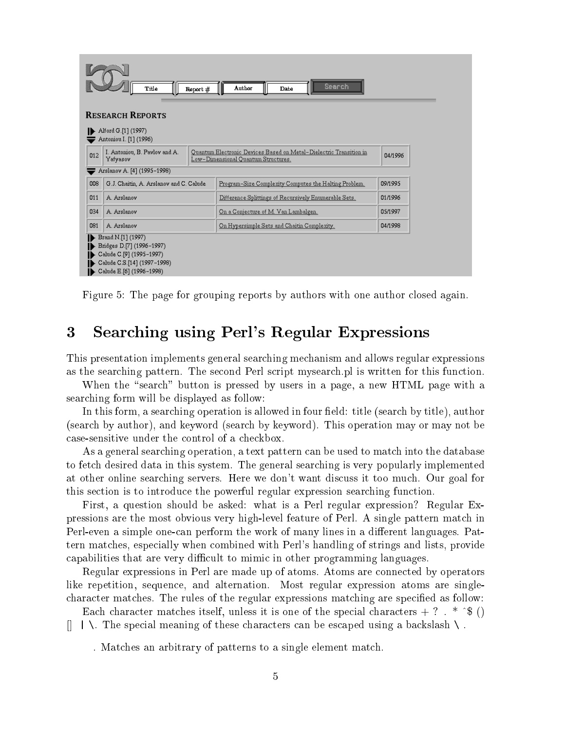| Search<br>Author<br>Title<br>Report #<br>Date<br><b>RESEARCH REPORTS</b>                                                                |                                                                                                                                                                   |  |                                                       |         |  |  |
|-----------------------------------------------------------------------------------------------------------------------------------------|-------------------------------------------------------------------------------------------------------------------------------------------------------------------|--|-------------------------------------------------------|---------|--|--|
|                                                                                                                                         | Alford G.[1] (1997)<br>Antoniou I. [1] (1996)                                                                                                                     |  |                                                       |         |  |  |
| 012                                                                                                                                     | I. Antoniou, B. Pavlov and A.<br>Quantum Electronic Devices Based on Metal-Dielectric Transition in<br>04/1996<br>Yafyasov<br>Low-Dimensional Quantum Structures. |  |                                                       |         |  |  |
|                                                                                                                                         | Arslanov A. [4] (1995-1998)                                                                                                                                       |  |                                                       |         |  |  |
| 008                                                                                                                                     | G.J. Chaitin, A. Arslanov and C. Calude.                                                                                                                          |  | Program-Size Complexity Computes the Halting Problem. | 09/1995 |  |  |
| 011                                                                                                                                     | A. Arslanov                                                                                                                                                       |  | Difference Splittings of Recursively Enumerable Sets. | 01/1996 |  |  |
| 034                                                                                                                                     | A. Arslanov                                                                                                                                                       |  | <u>On a Conjecture of M. Van Lambalgen.</u>           | 05/1997 |  |  |
| 081                                                                                                                                     | A. Arslanov                                                                                                                                                       |  | On Hypersimple Sets and Chaitin Complexity.           | 04/1998 |  |  |
| Brand N.[1] (1997)<br>Bridges D.[7] (1996-1997)<br>Calude C.[9] (1995-1997)<br>Calude C.S.[14] (1997-1998).<br>Calude E.[6] (1996-1998) |                                                                                                                                                                   |  |                                                       |         |  |  |

Figure 5: The page for grouping reports by authors with one author closed again.

# 3 Searching using Perl's Regular Expressions

This presentation implements general searching mechanism and allows regular expressions as the searching pattern. The second Perl script mysearch.pl is written for this function.

When the "search" button is pressed by users in a page, a new HTML page with a searching form will be displayed as follow:

In this form, a searching operation is allowed in four field: title (search by title), author (search by author), and keyword (search by keyword). This operation may or may not be case-sensitive under the control of a checkbox.

As a general searching operation, a text pattern can be used to match into the database to fetch desired data in this system. The general searching is very popularly implemented at other online searching servers. Here we don't want discuss it too much. Our goal for this section is to introduce the powerful regular expression searching function.

First, a question should be asked: what is a Perl regular expression? Regular Expressions are the most obvious very high-level feature of Perl. A single pattern match in Perl-even a simple one-can perform the work of many lines in a different languages. Pattern matches, especially when combined with Perl's handling of strings and lists, provide capabilities that are very difficult to mimic in other programming languages.

Regular expressions in Perl are made up of atoms. Atoms are connected by operators like repetition, sequence, and alternation. Most regular expression atoms are singlecharacter matches. The rules of the regular expressions matching are specied as follow:

Each character matches itself, unless it is one of the special characters  $+ ?$  . \* ^\$ ()  $[$   $|$   $|$   $\setminus$ . The special meaning of these characters can be escaped using a backslash  $\setminus$ .

. Matches an arbitrary of patterns to a single element match.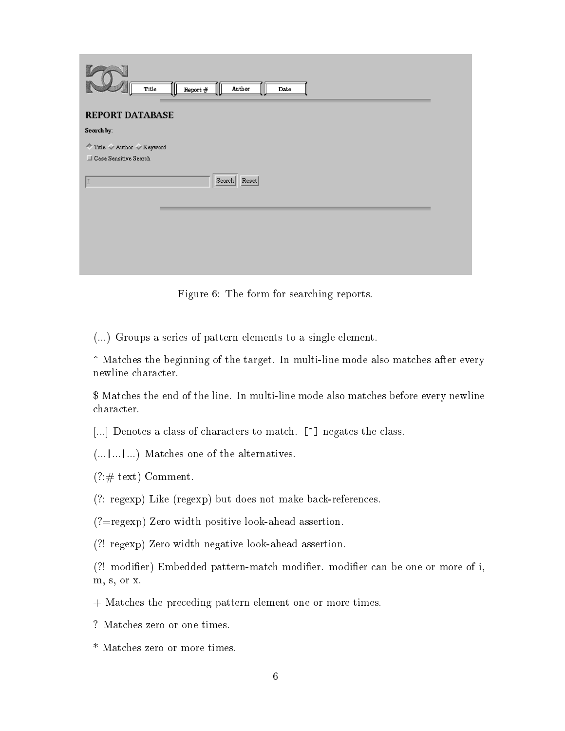| $\mathop{\mathbf{Aut}\mathbf{hor}}$<br>$\mathbf{T}$ itle<br>Report $#$<br>Date |  |
|--------------------------------------------------------------------------------|--|
| <b>REPORT DATABASE</b>                                                         |  |
| Search by:                                                                     |  |
| ◆ Title ◆ Author ◆ Keyword<br>Case Sensitive Search                            |  |
| Search Reset                                                                   |  |
|                                                                                |  |
|                                                                                |  |
|                                                                                |  |
|                                                                                |  |
|                                                                                |  |

Figure 6: The form for searching reports.

(...) Groups a series of pattern elements to a single element.

^ Matches the beginning of the target. In multi-line mode also matches after every newline character.

\$ Matches the end of the line. In multi-line mode also matches before every newline character.

[...] Denotes a class of characters to match. [^] negates the class.

(...|...|...) Matches one of the alternatives.

 $(?:\# \text{ text})$  Comment.

(?: regexp) Like (regexp) but does not make back-references.

(?=regexp) Zero width positive look-ahead assertion.

(?! regexp) Zero width negative look-ahead assertion.

(?! modier) Embedded pattern-match modier. modier can be one or more of i, m, s, or x.

+ Matches the preceding pattern element one or more times.

- ? Matches zero or one times.
- \* Matches zero or more times.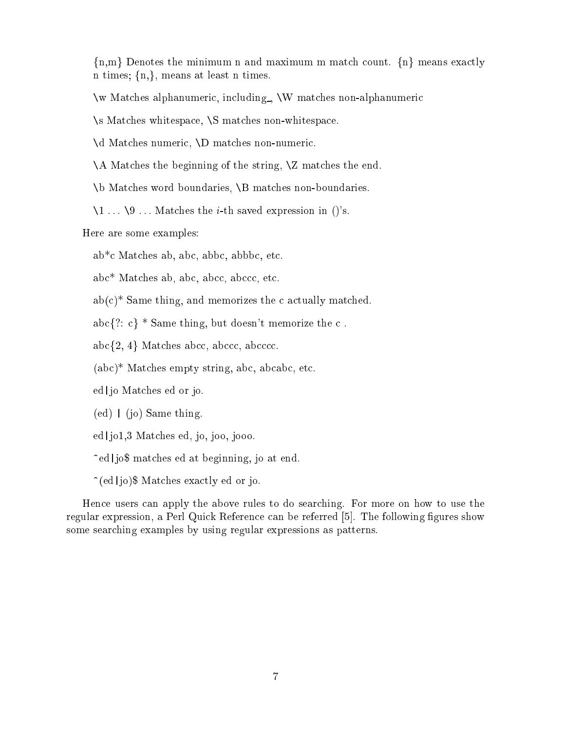$\{n,m\}$  Denotes the minimum n and maximum m match count.  $\{n\}$  means exactly n times;  $\{n,\}$ , means at least n times.

\w Matches alphanumeric, including , \W matches non-alphanumeric

\s Matches whitespace, \S matches non-whitespace.

\d Matches numeric, \D matches non-numeric.

\A Matches the beginning of the string, \Z matches the end.

\b Matches word boundaries, \B matches non-boundaries.

 $\setminus$ 1 ...  $\setminus$ 9 ... Matches the *i*-th saved expression in ()'s.

Here are some examples:

ab\*c Matches ab, abc, abbc, abbbc, etc.

abc\* Matches ab, abc, abcc, abccc, etc.

 $ab(c)^*$  Same thing, and memorizes the c actually matched.

abc $\{?: c\}$  \* Same thing, but doesn't memorize the c.

 $abc{2, 4}$  Matches abcc, abccc, abcccc.

(abc)\* Matches empty string, abc, abcabc, etc.

ed | jo Matches ed or jo.

 $(ed)$  | (jo) Same thing.

ed|jo1,3 Matches ed, jo, joo, jooo.

^ed|jo\$ matches ed at beginning, jo at end.

 $\hat{\ }$ (ed|jo)\$ Matches exactly ed or jo.

Hence users can apply the above rules to do searching. For more on how to use the regular expression, a Perl Quick Reference can be referred [5]. The following figures show some searching examples by using regular expressions as patterns.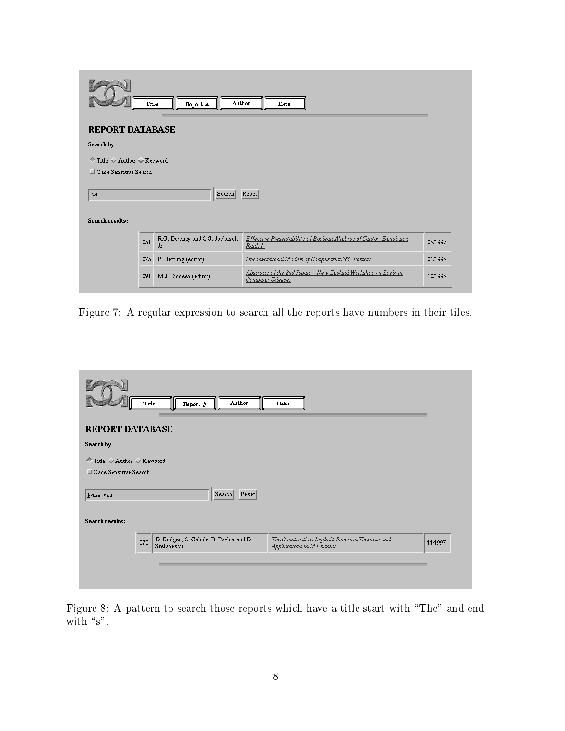| Author<br>Title<br>Report $#$<br>Date                      |     |                                     |                                                                                            |         |  |  |
|------------------------------------------------------------|-----|-------------------------------------|--------------------------------------------------------------------------------------------|---------|--|--|
| <b>REPORT DATABASE</b>                                     |     |                                     |                                                                                            |         |  |  |
| Search by:                                                 |     |                                     |                                                                                            |         |  |  |
| ◆ Title ◆ Author ◆ Keyword<br>$\Box$ Case Sensitive Search |     |                                     |                                                                                            |         |  |  |
| Search<br>Reset<br>∥Ņd                                     |     |                                     |                                                                                            |         |  |  |
| Search results:                                            |     |                                     |                                                                                            |         |  |  |
|                                                            | 051 | R.G. Downey and C.G. Jockusch<br>Jr | Effective Presentability of Boolean Algebras of Cantor-Bendixson<br>Rank 1.                | 08/1997 |  |  |
|                                                            | 075 | P. Hertling (editor)                | Unconventional Models of Computation'98: Posters.                                          | 01/1998 |  |  |
|                                                            | 091 | M.J. Dinneen (editor)               | <u> Abstracts of the 2nd Japan – New Zealand Workshop on Logic in</u><br>Computer Science. | 10/1998 |  |  |

Figure 7: A regular expression to search all the reports have numbers in their tiles.

| Author<br>Title<br>Report $#$<br>Date                                                                                                        |         |
|----------------------------------------------------------------------------------------------------------------------------------------------|---------|
| <b>REPORT DATABASE</b>                                                                                                                       |         |
| Search by:                                                                                                                                   |         |
| ◆ Title ◆ Author ◆ Keyword<br>Case Sensitive Search                                                                                          |         |
| Search Reset<br>$Mn = . + 53$                                                                                                                |         |
| Search results:                                                                                                                              |         |
| D. Bridges, C. Calude, B. Pavlov and D.<br>The Constructive Implicit Function Theorem and<br>070<br>Stefanescu<br>Applications in Mechanics. | 11/1997 |
|                                                                                                                                              |         |

Figure 8: A pattern to search those reports which have a title start with \The" and end with  $\degree$ s".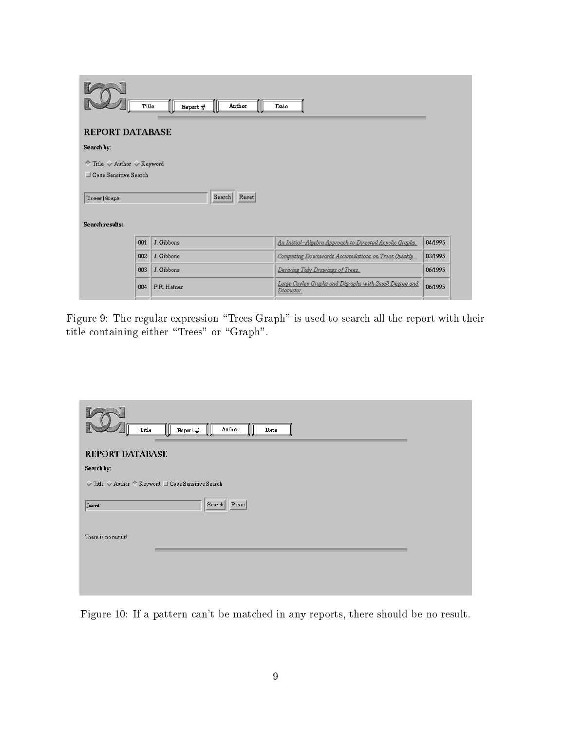| Author<br>Title<br>Report $#$<br>Date |     |             |                                                                     |         |  |
|---------------------------------------|-----|-------------|---------------------------------------------------------------------|---------|--|
| <b>REPORT DATABASE</b>                |     |             |                                                                     |         |  |
| Search by:                            |     |             |                                                                     |         |  |
| ◆ Title ◆ Author ◆ Keyword            |     |             |                                                                     |         |  |
| Case Sensitive Search                 |     |             |                                                                     |         |  |
| Reset<br>Search<br>$Tr$ ees   Graph   |     |             |                                                                     |         |  |
| Search results:                       |     |             |                                                                     |         |  |
|                                       | 001 | J. Gibbons  | An Initial-Algebra Approach to Directed Acyclic Graphs.             | 04/1995 |  |
|                                       | 002 | J. Gibbons  | Computing Downwards Accumulations on Trees Quickly.                 | 03/1995 |  |
|                                       | 003 | J. Gibbons  | Deriving Tidy Drawings of Trees.                                    | 06/1995 |  |
|                                       | 004 | P.R. Hafner | Large Cayley Graphs and Digraphs with Small Degree and<br>Diameter. | 06/1995 |  |

Figure 9: The regular expression "Trees|Graph" is used to search all the report with their title containing either "Trees" or "Graph".

| Author<br>Title<br>Report $#$<br>Date                                                 |
|---------------------------------------------------------------------------------------|
| <b>REPORT DATABASE</b>                                                                |
| Search by:                                                                            |
| $\sqrt{ }$ Title $\sqrt{ }$ Author $\sqrt[4]{ }$ Keyword $\Box$ Case Sensitive Search |
| Search Reset<br>iabed.                                                                |
| There is no result!                                                                   |
|                                                                                       |
|                                                                                       |
|                                                                                       |

Figure 10: If a pattern can't be matched in any reports, there should be no result.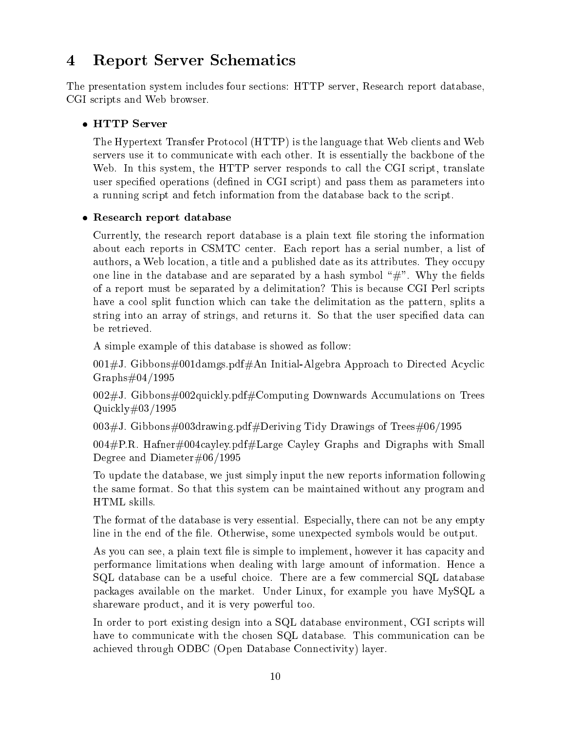# 4 Report Server Schematics

The presentation system includes four sections: HTTP server, Research report database, CGI scripts and Web browser.

The Hypertext Transfer Protocol (HTTP) is the language that Web clients and Web servers use it to communicate with each other. It is essentially the backbone of the Web. In this system, the HTTP server responds to call the CGI script, translate user specified operations (defined in CGI script) and pass them as parameters into a running script and fetch information from the database back to the script.

## Research report database

Currently, the research report database is a plain text le storing the information about each reports in CSMTC center. Each report has a serial number, a list of authors, a Web location, a title and a published date as its attributes. They occupy one line in the database and are separated by a hash symbol  $H$ . Why the fields of a report must be separated by a delimitation? This is because CGI Perl scripts have a cool split function which can take the delimitation as the pattern, splits a string into an array of strings, and returns it. So that the user specied data can be retrieved.

A simple example of this database is showed as follow:

001#J. Gibbons#001damgs.pdf#An Initial-Algebra Approach to Directed Acyclic  $Graphs#04/1995$ 

002#J. Gibbons#002quickly.pdf#Computing Downwards Accumulations on Trees Quickly#03/1995

 $003#J$ . Gibbons#003drawing.pdf#Deriving Tidy Drawings of Trees#06/1995

004#P.R. Hafner#004cayley.pdf#Large Cayley Graphs and Digraphs with Small Degree and Diameter#06/1995

To update the database, we just simply input the new reports information following the same format. So that this system can be maintained without any program and HTML skills.

The format of the database is very essential. Especially, there can not be any empty line in the end of the file. Otherwise, some unexpected symbols would be output.

As you can see, a plain text file is simple to implement, however it has capacity and performance limitations when dealing with large amount of information. Hence a SQL database can be a useful choice. There are a few commercial SQL database packages available on the market. Under Linux, for example you have MySQL a shareware product, and it is very powerful too.

In order to port existing design into a SQL database environment, CGI scripts will have to communicate with the chosen SQL database. This communication can be achieved through ODBC (Open Database Connectivity) layer.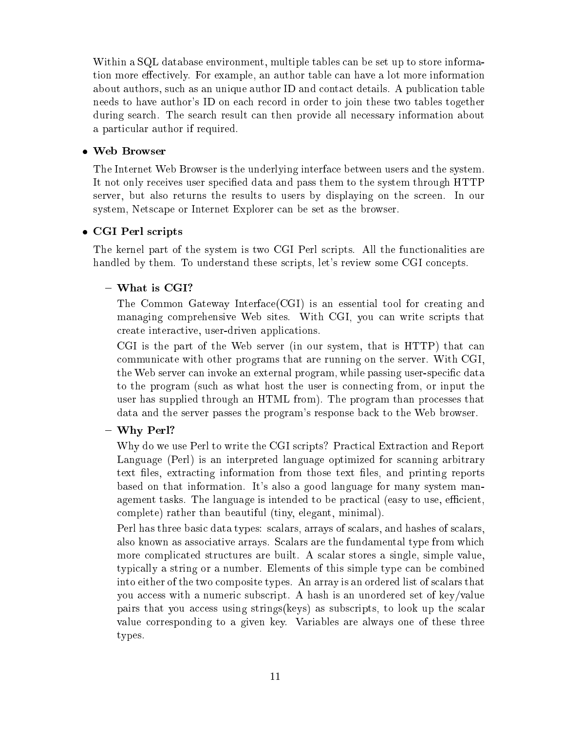Within a SQL database environment, multiple tables can be set up to store information more effectively. For example, an author table can have a lot more information about authors, such as an unique author ID and contact details. A publication table needs to have author's ID on each record in order to join these two tables together during search. The search result can then provide all necessary information about a particular author if required.

The Internet Web Browser is the underlying interface between users and the system. It not only receives user specied data and pass them to the system through HTTP server, but also returns the results to users by displaying on the screen. In our system, Netscape or Internet Explorer can be set as the browser.

## CGI Perl scripts and control to the control of the control of the control of the control of the control of the

The kernel part of the system is two CGI Perl scripts. All the functionalities are handled by them. To understand these scripts, let's review some CGI concepts.

The Common Gateway Interface(CGI) is an essential tool for creating and managing comprehensive Web sites. With CGI, you can write scripts that create interactive, user-driven applications.

CGI is the part of the Web server (in our system, that is HTTP) that can communicate with other programs that are running on the server. With CGI, the Web server can invoke an external program, while passing user-specic data to the program (such as what host the user is connecting from, or input the user has supplied through an HTML from). The program than processes that data and the server passes the program's response back to the Web browser.

### ${\bf v}$  and  ${\bf v}$  extends the perturbation of  ${\bf v}$

Why do we use Perl to write the CGI scripts? Practical Extraction and Report Language (Perl) is an interpreted language optimized for scanning arbitrary text files, extracting information from those text files, and printing reports based on that information. It's also a good language for many system management tasks. The language is intended to be practical (easy to use, efficient, complete) rather than beautiful (tiny, elegant, minimal).

Perl has three basic data types: scalars, arrays of scalars, and hashes of scalars, also known as associative arrays. Scalars are the fundamental type from which more complicated structures are built. A scalar stores a single, simple value, typically a string or a number. Elements of this simple type can be combined into either of the two composite types. An array is an ordered list of scalars that you access with a numeric subscript. A hash is an unordered set of key/value pairs that you access using strings(keys) as subscripts, to look up the scalar value corresponding to a given key. Variables are always one of these three types.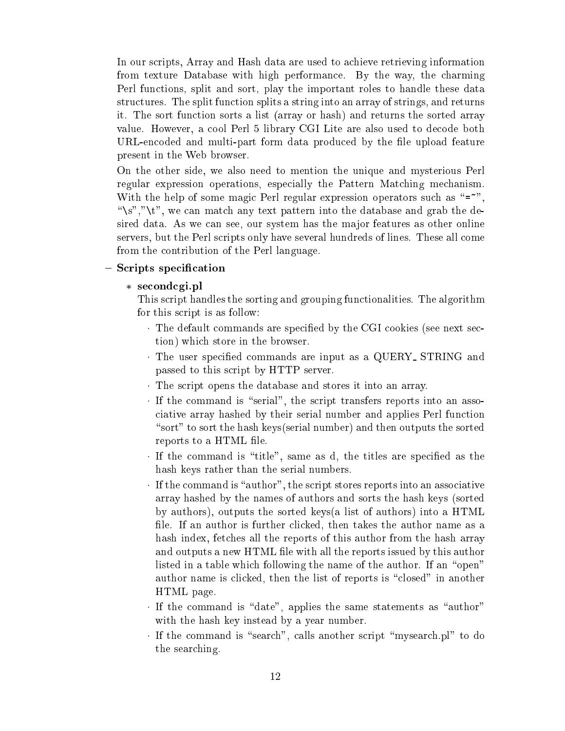In our scripts, Array and Hash data are used to achieve retrieving information from texture Database with high performance. By the way, the charming Perl functions, split and sort, play the important roles to handle these data structures. The split function splits a string into an array of strings, and returns it. The sort function sorts a list (array or hash) and returns the sorted array value. However, a cool Perl 5 library CGI Lite are also used to decode both URL-encoded and multi-part form data produced by the file upload feature present in the Web browser.

On the other side, we also need to mention the unique and mysterious Perl regular expression operations, especially the Pattern Matching mechanism. With the help of some magic Perl regular expression operators such as " $=$ ", "\s","\t", we can match any text pattern into the database and grab the desired data. As we can see, our system has the major features as other online servers, but the Perl scripts only have several hundreds of lines. These all come from the contribution of the Perl language.

### $\sim$  special special special special special special special special special special special special special special special special special special special special special special special special special special special

secondcgi.pl

This script handles the sorting and grouping functionalities. The algorithm for this script is as follow:

- The default commands are specied by the CGI cookies (see next section) which store in the browser.
- The user specied commands are input as a QUERY STRING and passed to this script by HTTP server.
- The script opens the database and stores it into an array.
- If the community transfers reports into an associated is the script transfers reports into an associated into an associated into an associated into an associated into an associated into an associated into an associated in ciative array hashed by their serial number and applies Perl function "sort" to sort the hash keys(serial number) and then outputs the sorted reports to a HTML file.
- If the command is the command is  $\mathbb{R}$  , the title same as d, the title same as d, the titles are specified as the title hash keys rather than the serial numbers.
- If the command is \author", the script stores reports into an associative array hashed by the names of authors and sorts the hash keys (sorted by authors), outputs the sorted keys(a list of authors) into a HTML file. If an author is further clicked, then takes the author name as a hash index, fetches all the reports of this author from the hash array and outputs a new HTML file with all the reports issued by this author listed in a table which following the name of the author. If an "open" author name is clicked, then the list of reports is "closed" in another HTML page.
- If the communities the same state  $\alpha$  , applies the same statements as  $\alpha$  as  $\alpha$ with the hash key instead by a year number.
- If the communication is another script and script  $\cdots$ the searching.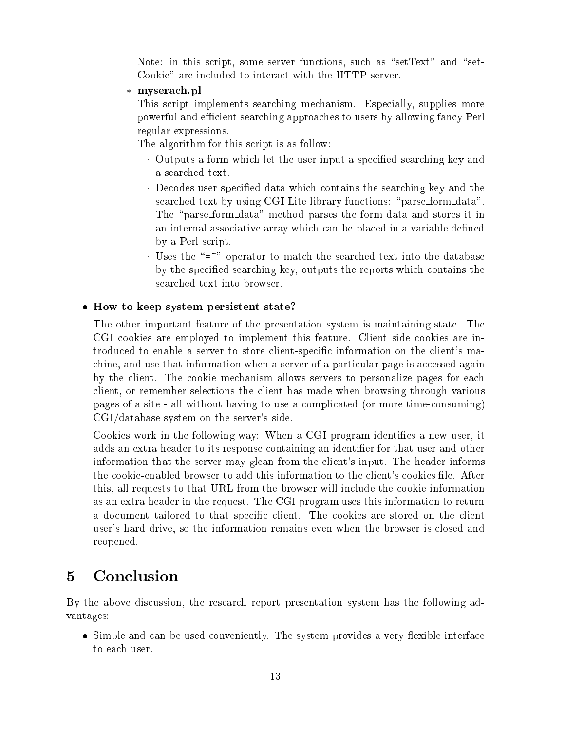Note: in this script, some server functions, such as "set $Text"$  and "set-Cookie" are included to interact with the HTTP server.

myserach.pl

This script implements searching mechanism. Especially, supplies more powerful and efficient searching approaches to users by allowing fancy Perl regular expressions.

The algorithm for this script is as follow:

- Outputs a form which a form which let the user in put a species which is specifically and and and searching the use a searched text.
- Decodes user specied data which contains the searching key and the searched text by using CGI Lite library functions: "parse\_form\_data". The "parse\_form\_data" method parses the form data and stores it in an internal associative array which can be placed in a variable defined by a Perl script.
- Uses the \=~" operator to match the searched text into the database by the specied searching key, outputs the reports which contains the searched text into browser.

## How to keep system persistent state?

The other important feature of the presentation system is maintaining state. The CGI cookies are employed to implement this feature. Client side cookies are introduced to enable a server to store client-specic information on the client's machine, and use that information when a server of a particular page is accessed again by the client. The cookie mechanism allows servers to personalize pages for each client, or remember selections the client has made when browsing through various pages of a site - all without having to use a complicated (or more time-consuming) CGI/database system on the server's side.

Cookies work in the following way: When a CGI program identifies a new user, it adds an extra header to its response containing an identifier for that user and other information that the server may glean from the client's input. The header informs the cookie-enabled browser to add this information to the client's cookies file. After this, all requests to that URL from the browser will include the cookie information as an extra header in the request. The CGI program uses this information to return a document tailored to that specific client. The cookies are stored on the client user's hard drive, so the information remains even when the browser is closed and reopened.

#### **Conclusion**  $\overline{5}$

By the above discussion, the research report presentation system has the following advantages:

 Simple and can be used conveniently. The system provides a very exible interface to each user.